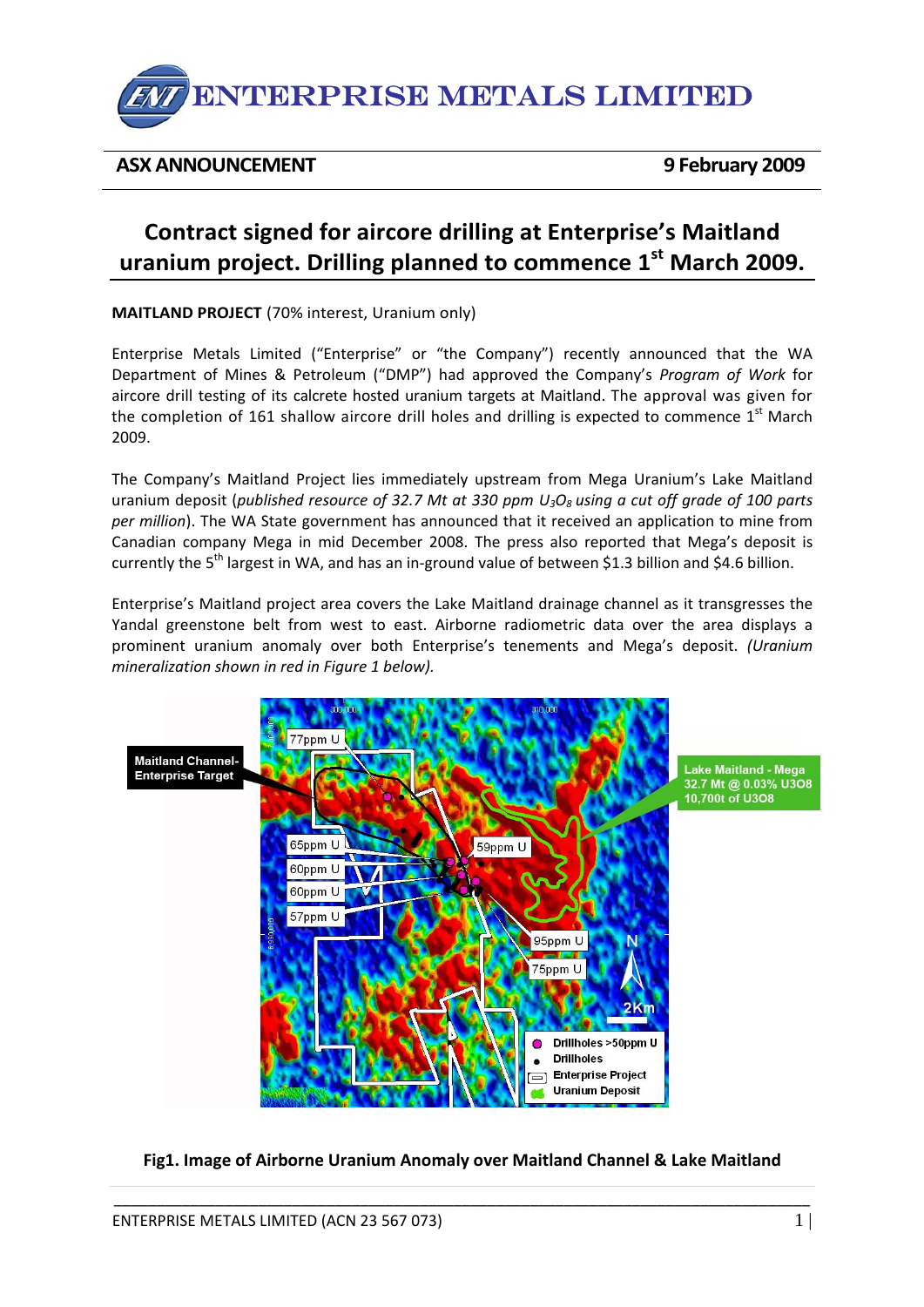

# **ASX ANNOUNCEMENT 9 February 2009**

# **Contract signed for aircore drilling at Enterprise's Maitland uranium project. Drilling planned to commence 1st March 2009.**

**MAITLAND PROJECT** (70% interest, Uranium only)

Enterprise Metals Limited ("Enterprise" or "the Company") recently announced that the WA Department of Mines & Petroleum ("DMP") had approved the Company's *Program of Work* for aircore drill testing of its calcrete hosted uranium targets at Maitland. The approval was given for the completion of 161 shallow aircore drill holes and drilling is expected to commence  $1<sup>st</sup>$  March 2009.

The Company's Maitland Project lies immediately upstream from Mega Uranium's Lake Maitland uranium deposit (*published resource of 32.7 Mt at 330 ppm U3O8 using a cut off grade of 100 parts per million*). The WA State government has announced that it received an application to mine from Canadian company Mega in mid December 2008. The press also reported that Mega's deposit is currently the 5<sup>th</sup> largest in WA, and has an in-ground value of between \$1.3 billion and \$4.6 billion.

Enterprise's Maitland project area covers the Lake Maitland drainage channel as it transgresses the Yandal greenstone belt from west to east. Airborne radiometric data over the area displays a prominent uranium anomaly over both Enterprise's tenements and Mega's deposit. *(Uranium mineralization shown in red in Figure 1 below).* 



## **Fig1. Image of Airborne Uranium Anomaly over Maitland Channel & Lake Maitland**

\_\_\_\_\_\_\_\_\_\_\_\_\_\_\_\_\_\_\_\_\_\_\_\_\_\_\_\_\_\_\_\_\_\_\_\_\_\_\_\_\_\_\_\_\_\_\_\_\_\_\_\_\_\_\_\_\_\_\_\_\_\_\_\_\_\_\_\_\_\_\_\_\_\_\_\_\_\_\_\_\_\_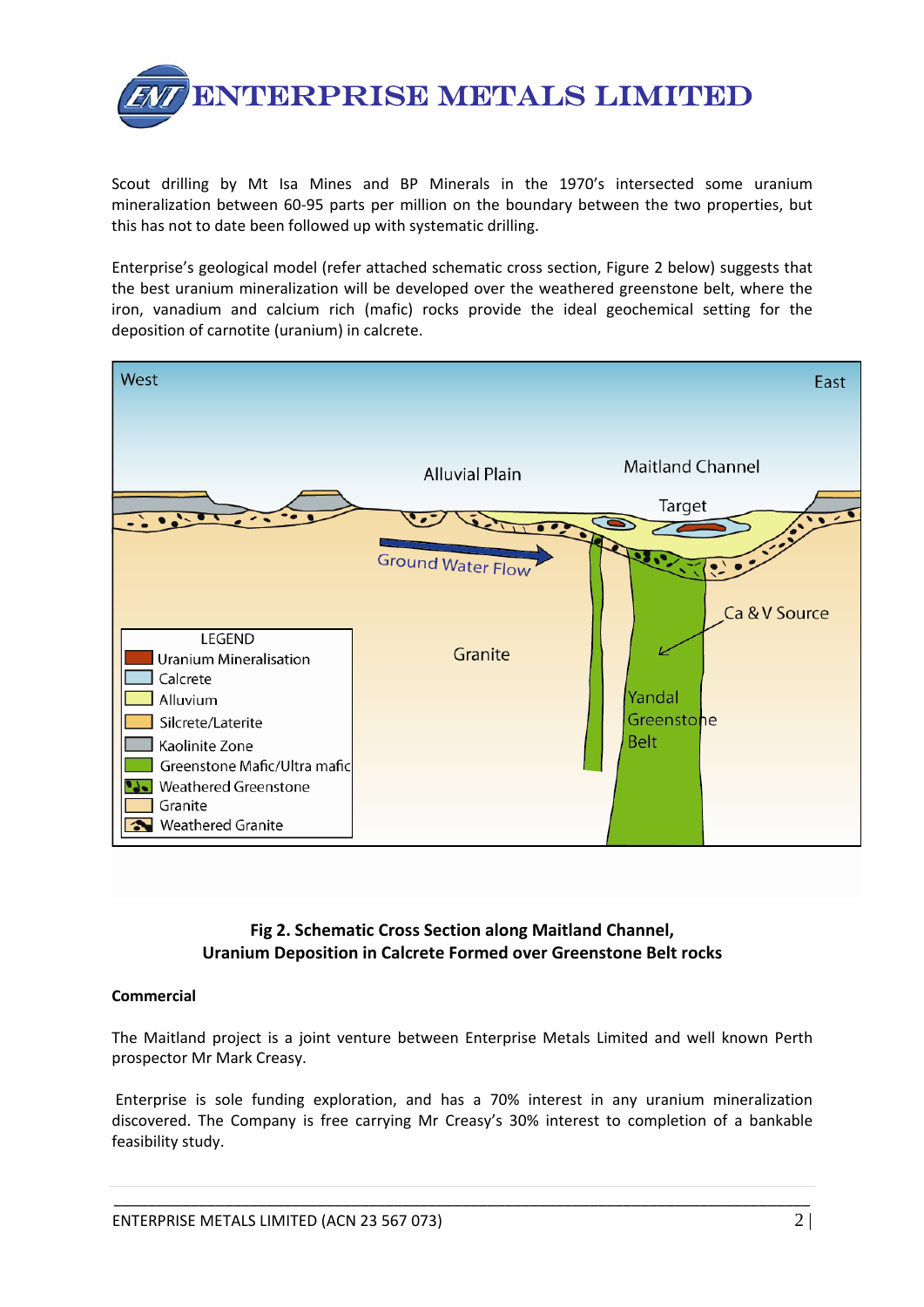

Scout drilling by Mt Isa Mines and BP Minerals in the 1970's intersected some uranium mineralization between 60‐95 parts per million on the boundary between the two properties, but this has not to date been followed up with systematic drilling.

Enterprise's geological model (refer attached schematic cross section, Figure 2 below) suggests that the best uranium mineralization will be developed over the weathered greenstone belt, where the iron, vanadium and calcium rich (mafic) rocks provide the ideal geochemical setting for the deposition of carnotite (uranium) in calcrete.



**Fig 2. Schematic Cross Section along Maitland Channel, Uranium Deposition in Calcrete Formed over Greenstone Belt rocks**

#### **Commercial**

The Maitland project is a joint venture between Enterprise Metals Limited and well known Perth prospector Mr Mark Creasy.

Enterprise is sole funding exploration, and has a 70% interest in any uranium mineralization discovered. The Company is free carrying Mr Creasy's 30% interest to completion of a bankable feasibility study.

\_\_\_\_\_\_\_\_\_\_\_\_\_\_\_\_\_\_\_\_\_\_\_\_\_\_\_\_\_\_\_\_\_\_\_\_\_\_\_\_\_\_\_\_\_\_\_\_\_\_\_\_\_\_\_\_\_\_\_\_\_\_\_\_\_\_\_\_\_\_\_\_\_\_\_\_\_\_\_\_\_\_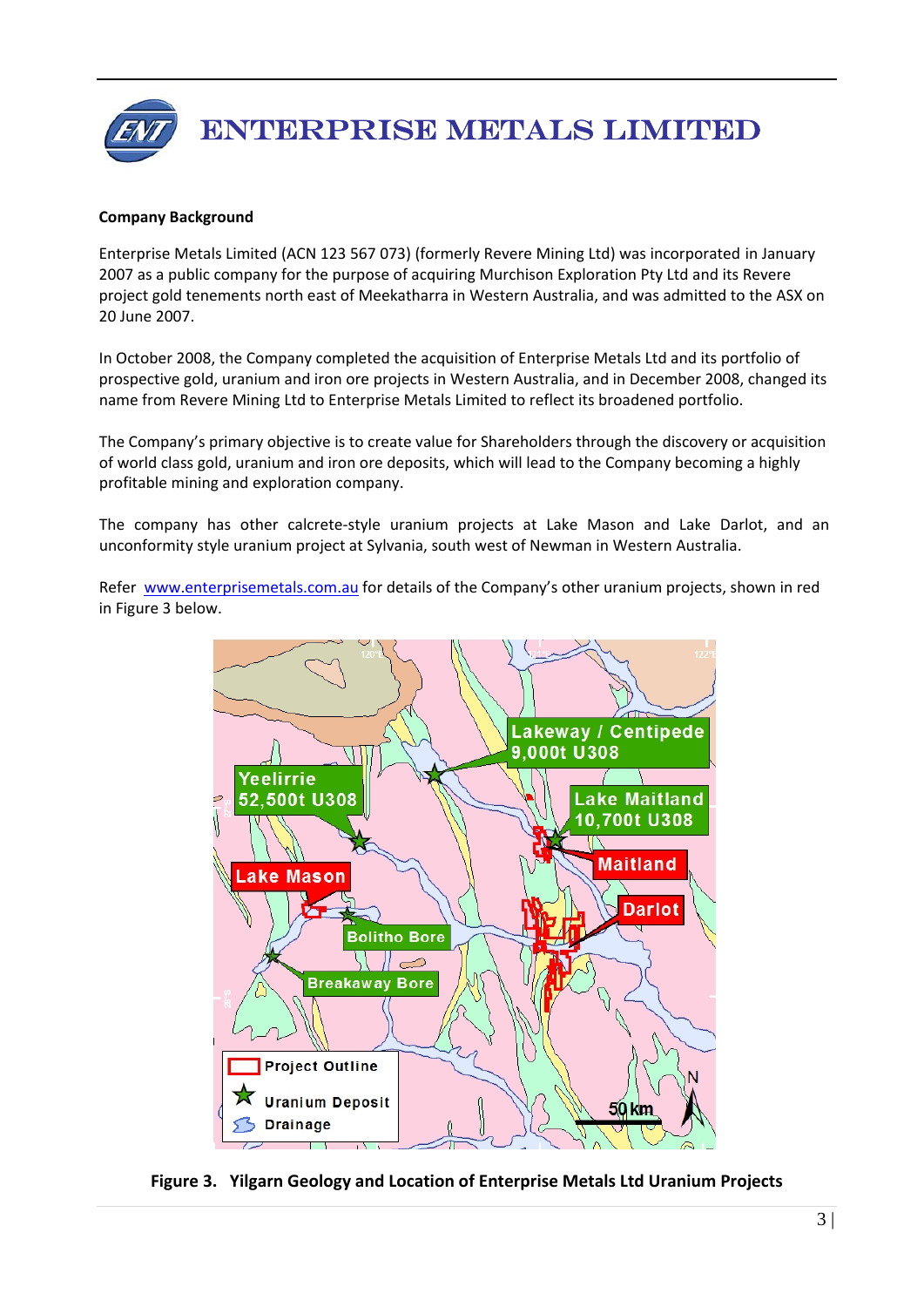

### **Company Background**

Enterprise Metals Limited (ACN 123 567 073) (formerly Revere Mining Ltd) was incorporated in January 2007 as a public company for the purpose of acquiring Murchison Exploration Pty Ltd and its Revere project gold tenements north east of Meekatharra in Western Australia, and was admitted to the ASX on 20 June 2007.

In October 2008, the Company completed the acquisition of Enterprise Metals Ltd and its portfolio of prospective gold, uranium and iron ore projects in Western Australia, and in December 2008, changed its name from Revere Mining Ltd to Enterprise Metals Limited to reflect its broadened portfolio.

The Company's primary objective is to create value for Shareholders through the discovery or acquisition of world class gold, uranium and iron ore deposits, which will lead to the Company becoming a highly profitable mining and exploration company.

The company has other calcrete‐style uranium projects at Lake Mason and Lake Darlot, and an unconformity style uranium project at Sylvania, south west of Newman in Western Australia.

Refer [www.enterprisemetals.com.au](http://www.enterprisemetals.com.au/) for details of the Company's other uranium projects, shown in red in Figure 3 below.



**Figure 3. Yilgarn Geology and Location of Enterprise Metals Ltd Uranium Projects**